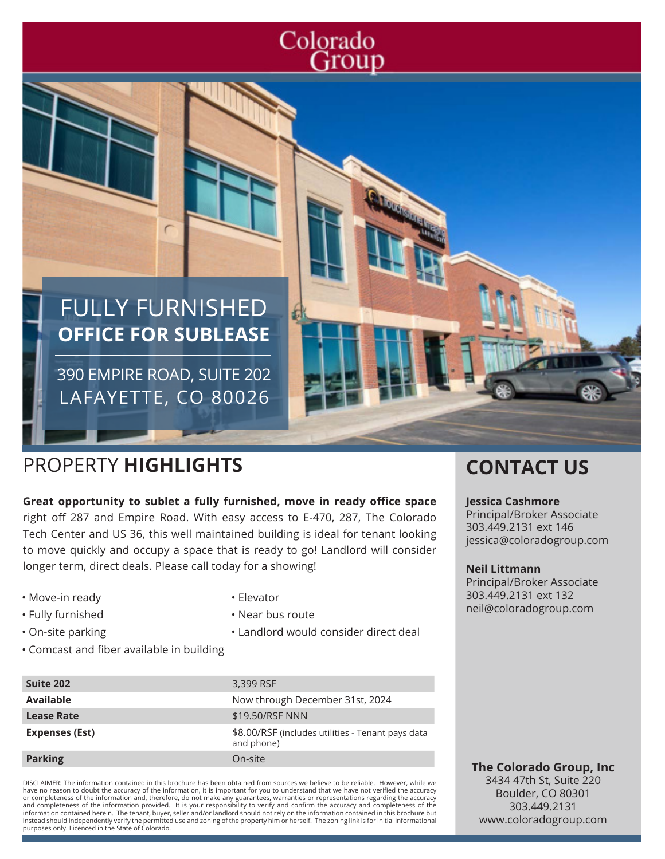# Colorado Group

# FULLY FURNISHED **OFFICE FOR SUBLEASE**

390 EMPIRE ROAD, SUITE 202 LAFAYETTE, CO 80026

## PROPERTY **HIGHLIGHTS CONTACT US**

**Great opportunity to sublet a fully furnished, move in ready office space**  right off 287 and Empire Road. With easy access to E-470, 287, The Colorado Tech Center and US 36, this well maintained building is ideal for tenant looking to move quickly and occupy a space that is ready to go! Landlord will consider longer term, direct deals. Please call today for a showing!

• Elevator

• Near bus route

• Landlord would consider direct deal

- Move-in ready
- Fully furnished
- On-site parking
- Comcast and fiber available in building

| Suite 202             | 3,399 RSF                                                       |
|-----------------------|-----------------------------------------------------------------|
| <b>Available</b>      | Now through December 31st, 2024                                 |
| <b>Lease Rate</b>     | \$19,50/RSF NNN                                                 |
| <b>Expenses (Est)</b> | \$8.00/RSF (includes utilities - Tenant pays data<br>and phone) |
| <b>Parking</b>        | On-site                                                         |

DISCLAIMER: The information contained in this brochure has been obtained from sources we believe to be reliable. However, while we have no reason to doubt the accuracy of the information, it is important for you to understand that we have not verified the accuracy or completeness of the information and, therefore, do not make any guarantees, warranties or representations regarding the accuracy<br>and completeness of the information provided. It is your responsibility to verify and con information contained herein. The tenant, buyer, seller and/or landlord should not rely on the information contained in this brochure but instead should independently verify the permitted use and zoning of the property him or herself. The zoning link is for initial informational purposes only. Licenced in the State of Colorado.

#### **Jessica Cashmore**

Principal/Broker Associate 303.449.2131 ext 146 jessica@coloradogroup.com

#### **Neil Littmann**

Principal/Broker Associate 303.449.2131 ext 132 neil@coloradogroup.com

**The Colorado Group, Inc** 3434 47th St, Suite 220 Boulder, CO 80301 303.449.2131 www.coloradogroup.com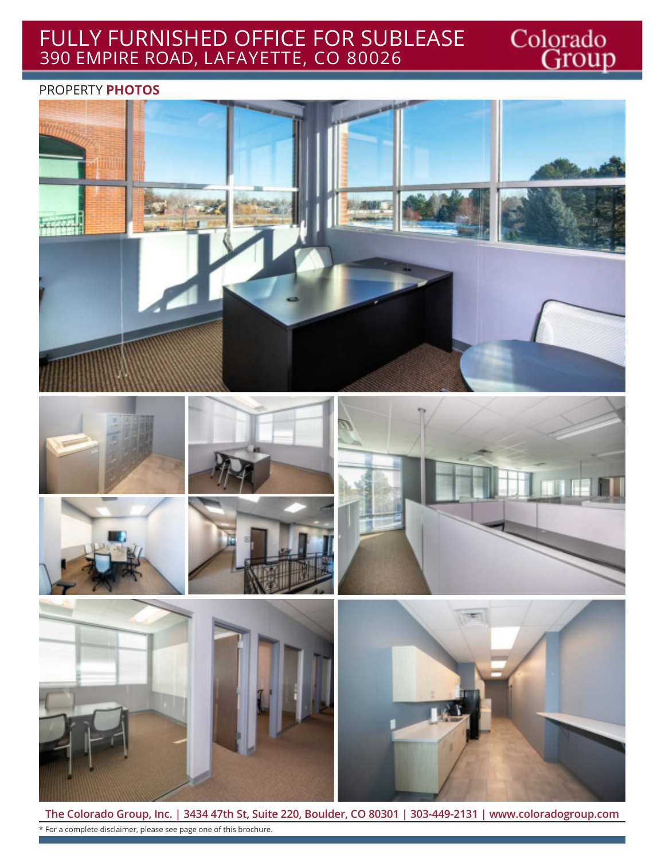#### FULLY FURNISHED OFFICE FOR SUBLEASE 390 EMPIRE ROAD, LAFAYETTE, CO 80026

#### PROPERTY **PHOTOS**



Colorado<br>Group

**The Colorado Group, Inc. | 3434 47th St, Suite 220, Boulder, CO 80301 | 303-449-2131 | www.coloradogroup.com** \* For a complete disclaimer, please see page one of this brochure.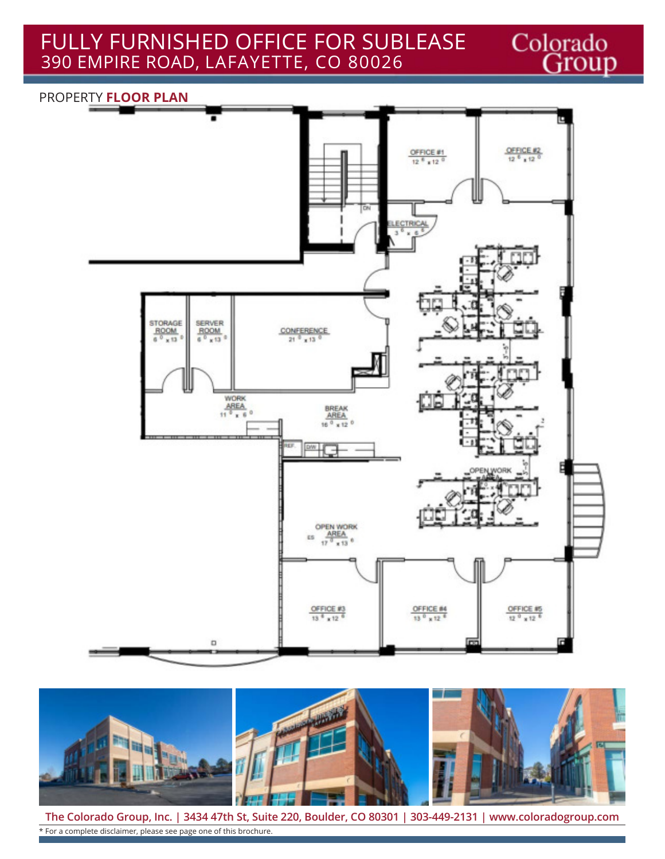FULLY FURNISHED OFFICE FOR SUBLEASE 390 EMPIRE ROAD, LAFAYETTE, CO 80026

# PROPERTY **FLOOR PLAN**  $\frac{ {{\small \text{OFFICE 42}} }}{12}$ OFFICE #1  $12^{8}$  x 12<sup>0</sup> ECTRICAL  $\begin{array}{l} \texttt{STORAGE} \\ \texttt{ROM} \\ \texttt{6} \, \texttt{0} \, \texttt{x} \, \texttt{13} \, \texttt{0} \end{array}$ SERVER<br>ROOM<br>6<sup>0</sup> x 13  $\frac{\text{CONFERENCE}}{21\ ^{0}\ \text{x}\ ^{13}\ ^{0}}$ **WORK**  $\frac{\text{AREA}}{11 \cdot \frac{9}{x} + 6}$  $\frac{\text{BREAK}}{\text{AREA}}$ iė aw I OPEN WORK  $\frac{\text{AREA}}{17^3 \times 13^6}$ ES

Colorado<br>Group



 $\frac{ {{\small \textsf{OFFICE}}\#3} }{13\text{ }^{8} \text{ x} \text{ } 12\text{ }^{6}}$ 

 $\frac{\text{OFFICE B4}}{13\ ^{\circ}\times12\ ^{\circ}}$ 

 $\frac{\text{OFFICE }46}{12^{-0} \times 12^{-6}}$ 

**The Colorado Group, Inc. | 3434 47th St, Suite 220, Boulder, CO 80301 | 303-449-2131 | www.coloradogroup.com** \* For a complete disclaimer, please see page one of this brochure.